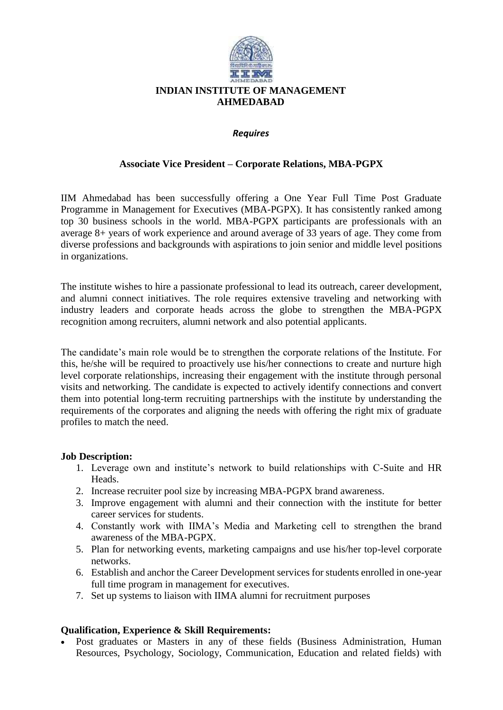

## *Requires*

## **Associate Vice President – Corporate Relations, MBA-PGPX**

IIM Ahmedabad has been successfully offering a One Year Full Time Post Graduate Programme in Management for Executives (MBA-PGPX). It has consistently ranked among top 30 business schools in the world. MBA-PGPX participants are professionals with an average 8+ years of work experience and around average of 33 years of age. They come from diverse professions and backgrounds with aspirations to join senior and middle level positions in organizations.

The institute wishes to hire a passionate professional to lead its outreach, career development, and alumni connect initiatives. The role requires extensive traveling and networking with industry leaders and corporate heads across the globe to strengthen the MBA-PGPX recognition among recruiters, alumni network and also potential applicants.

The candidate's main role would be to strengthen the corporate relations of the Institute. For this, he/she will be required to proactively use his/her connections to create and nurture high level corporate relationships, increasing their engagement with the institute through personal visits and networking. The candidate is expected to actively identify connections and convert them into potential long-term recruiting partnerships with the institute by understanding the requirements of the corporates and aligning the needs with offering the right mix of graduate profiles to match the need.

## **Job Description:**

- 1. Leverage own and institute's network to build relationships with C-Suite and HR Heads.
- 2. Increase recruiter pool size by increasing MBA-PGPX brand awareness.
- 3. Improve engagement with alumni and their connection with the institute for better career services for students.
- 4. Constantly work with IIMA's Media and Marketing cell to strengthen the brand awareness of the MBA-PGPX.
- 5. Plan for networking events, marketing campaigns and use his/her top-level corporate networks.
- 6. Establish and anchor the Career Development services for students enrolled in one-year full time program in management for executives.
- 7. Set up systems to liaison with IIMA alumni for recruitment purposes

## **Qualification, Experience & Skill Requirements:**

 Post graduates or Masters in any of these fields (Business Administration, Human Resources, Psychology, Sociology, Communication, Education and related fields) with